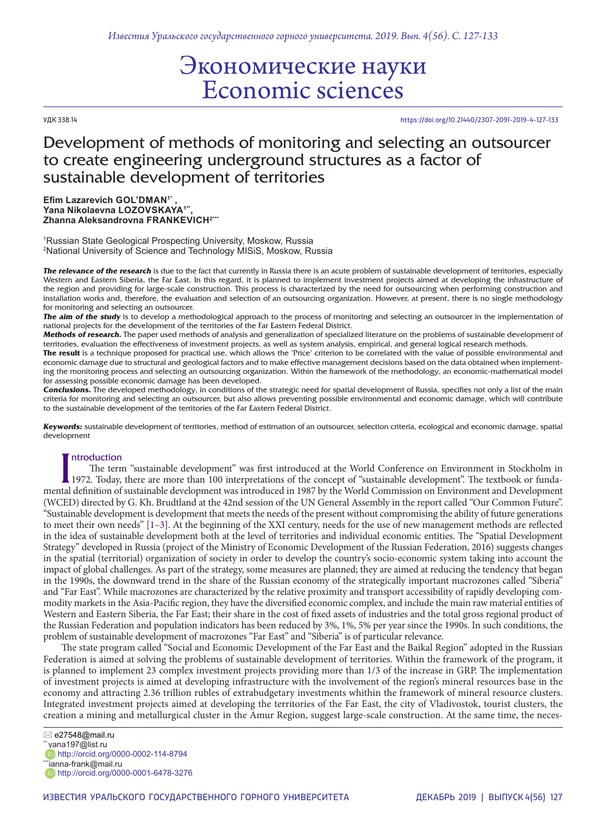# Экономические науки Economic sciences

УДК 338.14 https://doi.org/10.21440/2307-2091-2019-4-127-133

## Development of methods of monitoring and selecting an outsourcer to create engineering underground structures as a factor of sustainable development of territories

**Efim Lazarevich GOL'DMAN1\* , Yana Nikolaevna LOZOVSKAYA1\*\*, Zhanna Aleksandrovna FRANKEVICH2\*\*\***

1 Russian State Geological Prospecting University, Moskow, Russia 2 National University of Science and Technology MISiS, Moskow, Russia

*The relevance of the research* is due to the fact that currently in Russia there is an acute problem of sustainable development of territories, especially Western and Eastern Siberia, the Far East. In this regard, it is planned to implement investment projects aimed at developing the infrastructure of the region and providing for large-scale construction. This process is characterized by the need for outsourcing when performing construction and installation works and, therefore, the evaluation and selection of an outsourcing organization. However, at present, there is no single methodology for monitoring and selecting an outsourcer.

*The aim of the study* is to develop a methodological approach to the process of monitoring and selecting an outsourcer in the implementation of national projects for the development of the territories of the Far Eastern Federal District.

*Methods of research.* The paper used methods of analysis and generalization of specialized literature on the problems of sustainable development of territories, evaluation the effectiveness of investment projects, as well as system analysis, empirical, and general logical research methods.

**The result** is a technique proposed for practical use, which allows the "Price" criterion to be correlated with the value of possible environmental and economic damage due to structural and geological factors and to make effective management decisions based on the data obtained when implementing the monitoring process and selecting an outsourcing organization. Within the framework of the methodology, an economic-mathematical model for assessing possible economic damage has been developed.

*Conclusions.* The developed methodology, in conditions of the strategic need for spatial development of Russia, specifies not only a list of the main criteria for monitoring and selecting an outsourcer, but also allows preventing possible environmental and economic damage, which will contribute to the sustainable development of the territories of the Far Eastern Federal District.

*Keywords:* sustainable development of territories, method of estimation of an outsourcer, selection criteria, ecological and economic damage, spatial development

### ntroduction

Introduction<br>Inte term "sustainable development" was first introduced at the World Conference on Environment in Stockholm in<br>1972. Today, there are more than 100 interpretations of the concept of "sustainable development". The term "sustainable development" was first introduced at the World Conference on Environment in Stockholm in 1972. Today, there are more than 100 interpretations of the concept of "sustainable development". The textbook or funda-(WCED) directed by G. Kh. Brudtland at the 42nd session of the UN General Assembly in the report called "Our Common Future". "Sustainable development is development that meets the needs of the present without compromising the ability of future generations to meet their own needs" [1–3]. At the beginning of the XXI century, needs for the use of new management methods are reflected in the idea of sustainable development both at the level of territories and individual economic entities. The "Spatial Development Strategy" developed in Russia (project of the Ministry of Economic Development of the Russian Federation, 2016) suggests changes in the spatial (territorial) organization of society in order to develop the country's socio-economic system taking into account the impact of global challenges. As part of the strategy, some measures are planned; they are aimed at reducing the tendency that began in the 1990s, the downward trend in the share of the Russian economy of the strategically important macrozones called "Siberia" and "Far East". While macrozones are characterized by the relative proximity and transport accessibility of rapidly developing commodity markets in the Asia-Pacific region, they have the diversified economic complex, and include the main raw material entities of Western and Eastern Siberia, the Far East; their share in the cost of fixed assets of industries and the total gross regional product of the Russian Federation and population indicators has been reduced by 3%, 1%, 5% per year since the 1990s. In such conditions, the problem of sustainable development of macrozones "Far East" and "Siberia" is of particular relevance.

The state program called "Social and Economic Development of the Far East and the Baikal Region" adopted in the Russian Federation is aimed at solving the problems of sustainable development of territories. Within the framework of the program, it is planned to implement 23 complex investment projects providing more than 1/3 of the increase in GRP. The implementation of investment projects is aimed at developing infrastructure with the involvement of the region's mineral resources base in the economy and attracting 2.36 trillion rubles of extrabudgetary investments whithin the framework of mineral resource clusters. Integrated investment projects aimed at developing the territories of the Far East, the city of Vladivostok, tourist clusters, the creation a mining and metallurgical cluster in the Amur Region, suggest large-scale construction. At the same time, the neces-

e27548@mail.ru

http://orcid.org/0000-0001-6478-3276

 $"$  yana197@list.ru

http://orcid.org/0000-0002-114-8794 \*ianna-frank@mail.ru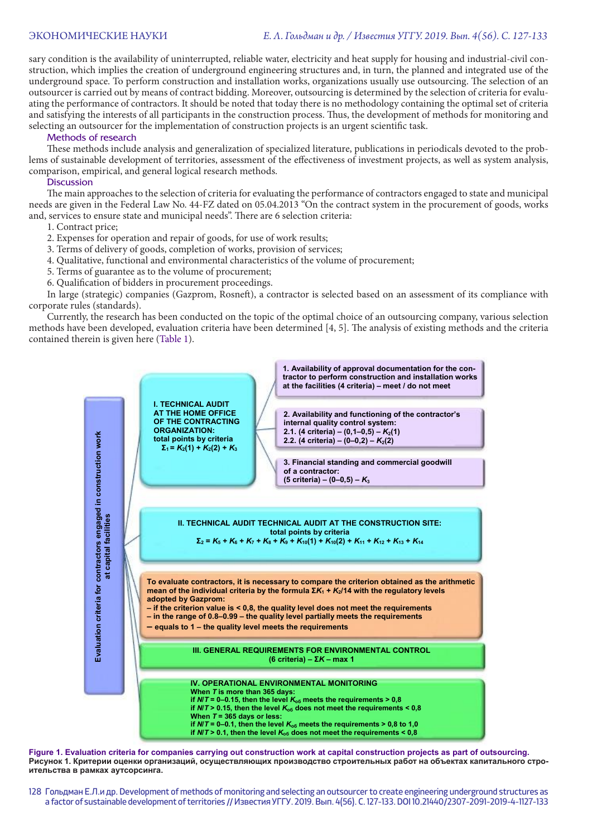#### ЭКОНОМИЧЕСКИЕ НАУКИ *Е. Л. Гольдман и др. / Известия УГГУ. 2019. Вып. 4(56). С. 127-133*

sary condition is the availability of uninterrupted, reliable water, electricity and heat supply for housing and industrial-civil construction, which implies the creation of underground engineering structures and, in turn, the planned and integrated use of the underground space. To perform construction and installation works, organizations usually use outsourcing. The selection of an outsourcer is carried out by means of contract bidding. Moreover, outsourcing is determined by the selection of criteria for evaluating the performance of contractors. It should be noted that today there is no methodology containing the optimal set of criteria and satisfying the interests of all participants in the construction process. Thus, the development of methods for monitoring and selecting an outsourcer for the implementation of construction projects is an urgent scientific task.

#### Methods of research

These methods include analysis and generalization of specialized literature, publications in periodicals devoted to the problems of sustainable development of territories, assessment of the effectiveness of investment projects, as well as system analysis, comparison, empirical, and general logical research methods.

#### **Discussion**

The main approaches to the selection of criteria for evaluating the performance of contractors engaged to state and municipal needs are given in the Federal Law No. 44-FZ dated on 05.04.2013 "On the contract system in the procurement of goods, works and, services to ensure state and municipal needs". There are 6 selection criteria:

- 1. Contract price;
- 2. Expenses for operation and repair of goods, for use of work results;
- 3. Terms of delivery of goods, completion of works, provision of services;
- 4. Qualitative, functional and environmental characteristics of the volume of procurement;
- 5. Terms of guarantee as to the volume of procurement;
- 6. Qualification of bidders in procurement proceedings.

In large (strategic) companies (Gazprom, Rosneft), a contractor is selected based on an assessment of its compliance with corporate rules (standards).

Currently, the research has been conducted on the topic of the optimal choice of an outsourcing company, various selection methods have been developed, evaluation criteria have been determined [4, 5]. The analysis of existing methods and the criteria contained therein is given here (Table 1).



**Figure 1. Evaluation criteria for companies carrying out construction work at capital construction projects as part of outsourcing. Рисунок 1. Критерии оценки организаций, осуществляющих производство строительных работ на объектах капитального строительства в рамках аутсорсинга.**

128 Гольдман Е.Л.и др. Development of methods of monitoring and selecting an outsourcer to create engineering underground structures as a factor of sustainable development of territories // Известия УГГУ. 2019. Вып. 4(56). С. 127-133. DOI 10.21440/2307-2091-2019-4-1127-133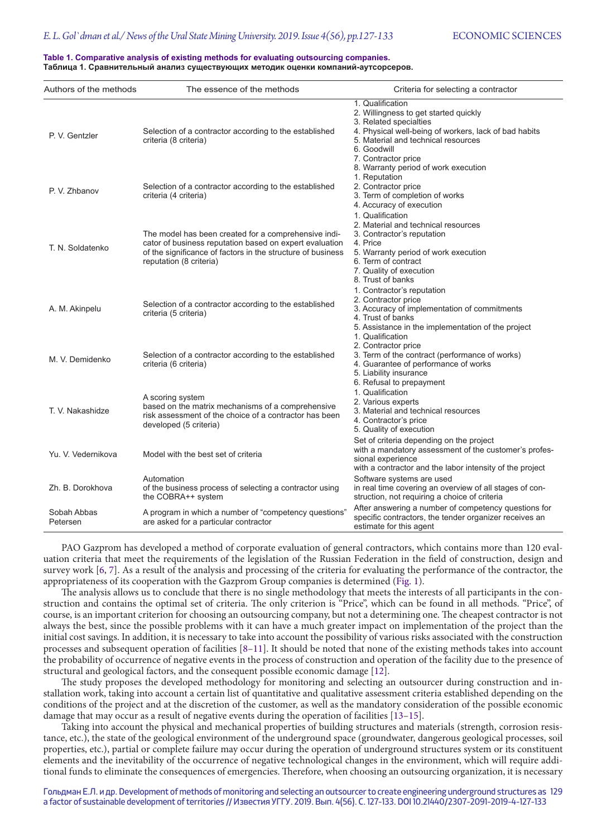#### **Table 1. Comparative analysis of existing methods for evaluating outsourcing companies. Таблица 1. Сравнительный анализ существующих методик оценки компаний-аутсорсеров.**

| Authors of the methods  | The essence of the methods                                                                                                                                                                                | Criteria for selecting a contractor                                                                                                                                                                                       |
|-------------------------|-----------------------------------------------------------------------------------------------------------------------------------------------------------------------------------------------------------|---------------------------------------------------------------------------------------------------------------------------------------------------------------------------------------------------------------------------|
| P. V. Gentzler          | Selection of a contractor according to the established<br>criteria (8 criteria)                                                                                                                           | 1. Qualification<br>2. Willingness to get started quickly<br>3. Related specialties<br>4. Physical well-being of workers, lack of bad habits<br>5. Material and technical resources<br>6. Goodwill<br>7. Contractor price |
| P. V. Zhbanov           | Selection of a contractor according to the established<br>criteria (4 criteria)                                                                                                                           | 8. Warranty period of work execution<br>1. Reputation<br>2. Contractor price<br>3. Term of completion of works<br>4. Accuracy of execution                                                                                |
| T. N. Soldatenko        | The model has been created for a comprehensive indi-<br>cator of business reputation based on expert evaluation<br>of the significance of factors in the structure of business<br>reputation (8 criteria) | 1. Qualification<br>2. Material and technical resources<br>3. Contractor's reputation<br>4. Price<br>5. Warranty period of work execution<br>6. Term of contract<br>7. Quality of execution<br>8. Trust of banks          |
| A. M. Akinpelu          | Selection of a contractor according to the established<br>criteria (5 criteria)                                                                                                                           | 1. Contractor's reputation<br>2. Contractor price<br>3. Accuracy of implementation of commitments<br>4. Trust of banks<br>5. Assistance in the implementation of the project<br>1. Qualification                          |
| M. V. Demidenko         | Selection of a contractor according to the established<br>criteria (6 criteria)                                                                                                                           | 2. Contractor price<br>3. Term of the contract (performance of works)<br>4. Guarantee of performance of works<br>5. Liability insurance<br>6. Refusal to prepayment                                                       |
| T. V. Nakashidze        | A scoring system<br>based on the matrix mechanisms of a comprehensive<br>risk assessment of the choice of a contractor has been<br>developed (5 criteria)                                                 | 1. Qualification<br>2. Various experts<br>3. Material and technical resources<br>4. Contractor's price<br>5. Quality of execution                                                                                         |
| Yu. V. Vedernikova      | Model with the best set of criteria                                                                                                                                                                       | Set of criteria depending on the project<br>with a mandatory assessment of the customer's profes-<br>sional experience<br>with a contractor and the labor intensity of the project                                        |
| Zh. B. Dorokhova        | Automation<br>of the business process of selecting a contractor using<br>the COBRA++ system                                                                                                               | Software systems are used<br>in real time covering an overview of all stages of con-<br>struction, not requiring a choice of criteria                                                                                     |
| Sobah Abbas<br>Petersen | A program in which a number of "competency questions"<br>are asked for a particular contractor                                                                                                            | After answering a number of competency questions for<br>specific contractors, the tender organizer receives an<br>estimate for this agent                                                                                 |

PAO Gazprom has developed a method of corporate evaluation of general contractors, which contains more than 120 evaluation criteria that meet the requirements of the legislation of the Russian Federation in the field of construction, design and survey work [6, 7]. As a result of the analysis and processing of the criteria for evaluating the performance of the contractor, the appropriateness of its cooperation with the Gazprom Group companies is determined (Fig. 1).

The analysis allows us to conclude that there is no single methodology that meets the interests of all participants in the construction and contains the optimal set of criteria. The only criterion is "Price", which can be found in all methods. "Price", of course, is an important criterion for choosing an outsourcing company, but not a determining one. The cheapest contractor is not always the best, since the possible problems with it can have a much greater impact on implementation of the project than the initial cost savings. In addition, it is necessary to take into account the possibility of various risks associated with the construction processes and subsequent operation of facilities [8–11]. It should be noted that none of the existing methods takes into account the probability of occurrence of negative events in the process of construction and operation of the facility due to the presence of structural and geological factors, and the consequent possible economic damage [12].

The study proposes the developed methodology for monitoring and selecting an outsourcer during construction and installation work, taking into account a certain list of quantitative and qualitative assessment criteria established depending on the conditions of the project and at the discretion of the customer, as well as the mandatory consideration of the possible economic damage that may occur as a result of negative events during the operation of facilities [13–15].

Taking into account the physical and mechanical properties of building structures and materials (strength, corrosion resistance, etc.), the state of the geological environment of the underground space (groundwater, dangerous geological processes, soil properties, etc.), partial or complete failure may occur during the operation of underground structures system or its constituent elements and the inevitability of the occurrence of negative technological changes in the environment, which will require additional funds to eliminate the consequences of emergencies. Therefore, when choosing an outsourcing organization, it is necessary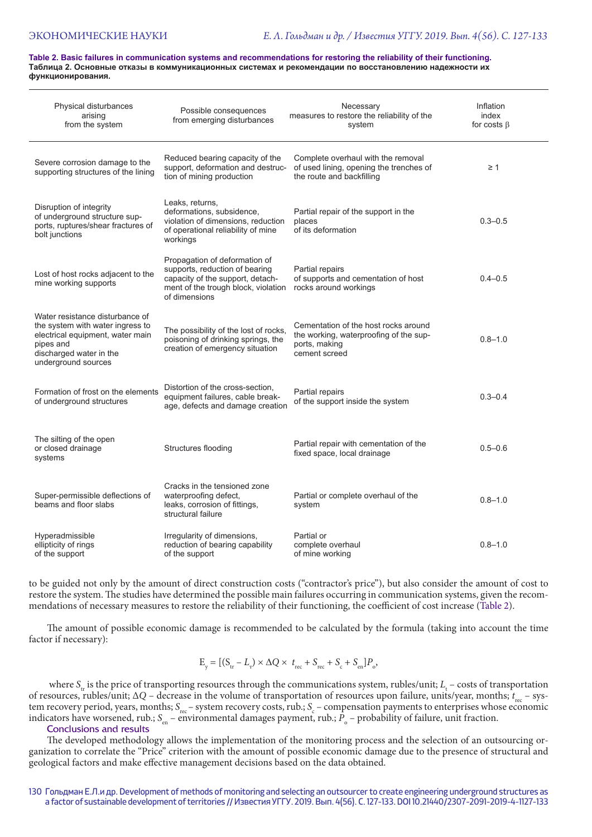**Table 2. Basic failures in communication systems and recommendations for restoring the reliability of their functioning. Таблица 2. Основные отказы в коммуникационных системах и рекомендации по восстановлению надежности их функционирования.**

| Physical disturbances<br>arising<br>from the system                                                                                                                    | Possible consequences<br>from emerging disturbances                                                                                                         | Necessary<br>measures to restore the reliability of the<br>system                                                | Inflation<br>index<br>for costs $\beta$ |
|------------------------------------------------------------------------------------------------------------------------------------------------------------------------|-------------------------------------------------------------------------------------------------------------------------------------------------------------|------------------------------------------------------------------------------------------------------------------|-----------------------------------------|
| Severe corrosion damage to the<br>supporting structures of the lining                                                                                                  | Reduced bearing capacity of the<br>support, deformation and destruc-<br>tion of mining production                                                           | Complete overhaul with the removal<br>of used lining, opening the trenches of<br>the route and backfilling       | $\geq 1$                                |
| Disruption of integrity<br>of underground structure sup-<br>ports, ruptures/shear fractures of<br>bolt junctions                                                       | Leaks, returns,<br>deformations, subsidence,<br>violation of dimensions, reduction<br>of operational reliability of mine<br>workings                        | Partial repair of the support in the<br>places<br>of its deformation                                             | $0.3 - 0.5$                             |
| Lost of host rocks adjacent to the<br>mine working supports                                                                                                            | Propagation of deformation of<br>supports, reduction of bearing<br>capacity of the support, detach-<br>ment of the trough block, violation<br>of dimensions | Partial repairs<br>of supports and cementation of host<br>rocks around workings                                  | $0.4 - 0.5$                             |
| Water resistance disturbance of<br>the system with water ingress to<br>electrical equipment, water main<br>pipes and<br>discharged water in the<br>underground sources | The possibility of the lost of rocks,<br>poisoning of drinking springs, the<br>creation of emergency situation                                              | Cementation of the host rocks around<br>the working, waterproofing of the sup-<br>ports, making<br>cement screed | $0.8 - 1.0$                             |
| Formation of frost on the elements<br>of underground structures                                                                                                        | Distortion of the cross-section,<br>equipment failures, cable break-<br>age, defects and damage creation                                                    | Partial repairs<br>of the support inside the system                                                              | $0.3 - 0.4$                             |
| The silting of the open<br>or closed drainage<br>systems                                                                                                               | Structures flooding                                                                                                                                         | Partial repair with cementation of the<br>fixed space, local drainage                                            | $0.5 - 0.6$                             |
| Super-permissible deflections of<br>beams and floor slabs                                                                                                              | Cracks in the tensioned zone<br>waterproofing defect,<br>leaks, corrosion of fittings,<br>structural failure                                                | Partial or complete overhaul of the<br>system                                                                    | $0.8 - 1.0$                             |
| Hyperadmissible<br>ellipticity of rings<br>of the support                                                                                                              | Irregularity of dimensions,<br>reduction of bearing capability<br>of the support                                                                            | Partial or<br>complete overhaul<br>of mine working                                                               | $0.8 - 1.0$                             |

to be guided not only by the amount of direct construction costs ("contractor's price"), but also consider the amount of cost to restore the system. The studies have determined the possible main failures occurring in communication systems, given the recommendations of necessary measures to restore the reliability of their functioning, the coefficient of cost increase (Table 2).

The amount of possible economic damage is recommended to be calculated by the formula (taking into account the time factor if necessary):

$$
\mathbf{E}_{\mathbf{y}} = [(\mathbf{S}_{\mathbf{tr}} - L_{\mathbf{r}}) \times \Delta Q \times t_{\mathbf{rec}} + \mathbf{S}_{\mathbf{rec}} + \mathbf{S}_{\mathbf{c}} + \mathbf{S}_{\mathbf{en}}]P_{\mathbf{o}},
$$

where  $S_{tr}$  is the price of transporting resources through the communications system, rubles/unit;  $L_t$  – costs of transportation of resources, rubles/unit; ∆*Q* – decrease in the volume of transportation of resources upon failure, units/year, months; *t* rec – system recovery period, years, months; S<sub>rec</sub> – system recovery costs, rub.; S<sub>c</sub> – compensation payments to enterprises whose economic indicators have worsened, rub.; S<sub>en</sub> – environmental damages payment, rub.; P<sub>o</sub> – probability of failure, unit fraction.

Conclusions and results

The developed methodology allows the implementation of the monitoring process and the selection of an outsourcing organization to correlate the "Price" criterion with the amount of possible economic damage due to the presence of structural and geological factors and make effective management decisions based on the data obtained.

#### 130 Гольдман Е.Л.и др. Development of methods of monitoring and selecting an outsourcer to create engineering underground structures as a factor of sustainable development of territories // Известия УГГУ. 2019. Вып. 4(56). С. 127-133. DOI 10.21440/2307-2091-2019-4-1127-133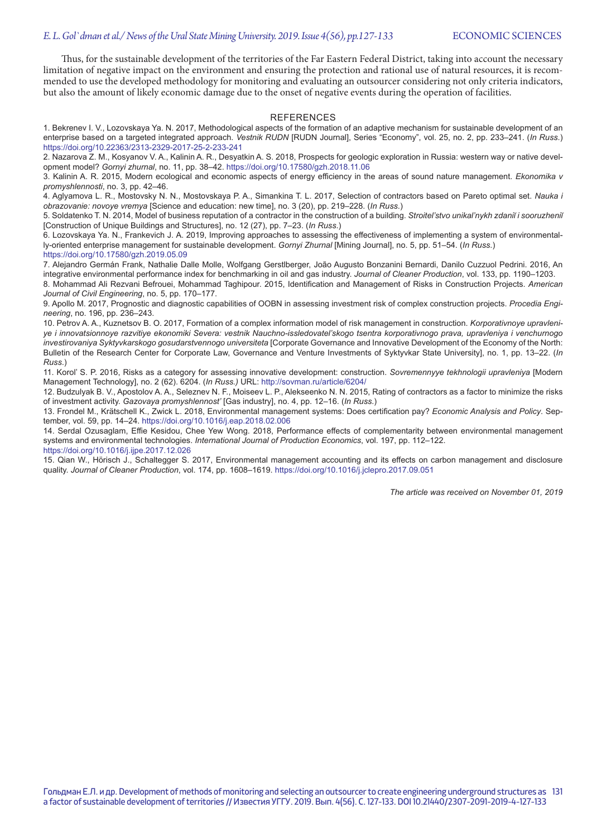Thus, for the sustainable development of the territories of the Far Eastern Federal District, taking into account the necessary limitation of negative impact on the environment and ensuring the protection and rational use of natural resources, it is recommended to use the developed methodology for monitoring and evaluating an outsourcer considering not only criteria indicators, but also the amount of likely economic damage due to the onset of negative events during the operation of facilities.

#### **REFERENCES**

1. Bekrenev I. V., Lozovskaya Ya. N. 2017, Methodological aspects of the formation of an adaptive mechanism for sustainable development of an enterprise based on a targeted integrated approach. *Vestnik RUDN* [RUDN Journal], Series "Economy", vol. 25, no. 2, pp. 233–241. (*In Russ*.) https://doi.org/10.22363/2313-2329-2017-25-2-233-241

2. Nazarova Z. M., Kosyanov V. A., Kalinin A. R., Desyatkin A. S. 2018, Prospects for geologic exploration in Russia: western way or native development model? *Gornyi zhurnal*, no. 11, pp. 38–42. https://doi.org/10.17580/gzh.2018.11.06

3. Kalinin A. R. 2015, Modern ecological and economic aspects of energy efficiency in the areas of sound nature management. *Ekonomika v promyshlennosti*, no. 3, pp. 42–46.

4. Aglyamova L. R., Mostovsky N. N., Mostovskaya P. A., Simankina T. L. 2017, Selection of contractors based on Pareto optimal set. *Nauka i obrazovanie: novoye vremya* [Science and education: new time], no. 3 (20), pp. 219–228. (*In Russ*.)

5. Soldatenko T. N. 2014, Model of business reputation of a contractor in the construction of a building. *Stroitel'stvo unikal'nykh zdaniĭ i sooruzheniĭ* [Construction of Unique Buildings and Structures], no. 12 (27), pp. 7–23. (*In Russ*.)

6. Lozovskaya Ya. N., Frankevich J. А. 2019, Improving approaches to assessing the effectiveness of implementing a system of environmentally-oriented enterprise management for sustainable development. *Gornyi Zhurnal* [Mining Journal], no. 5, pp. 51–54. (*In Russ*.) https://doi.org/10.17580/gzh.2019.05.09

7. Alejandro Germán Frank, Nathalie Dalle Molle, Wolfgang Gerstlberger, João Augusto Bonzanini Bernardi, Danilo Cuzzuol Pedrini. 2016, An integrative environmental performance index for benchmarking in oil and gas industry. *Journal of Cleaner Production*, vol. 133, pp. 1190–1203. 8. Mohammad Ali Rezvani Befrouei, Mohammad Taghipour. 2015, Identification and Management of Risks in Construction Projects. *American* 

*Journal of Civil Engineering*, no. 5, pp. 170–177. 9. Apollo М. 2017, Prognostic and diagnostic capabilities of OOBN in assessing investment risk of complex construction projects. *Procedia Engineering*, no. 196, pp. 236–243.

10. Petrov A. A., Kuznetsov B. O. 2017, Formation of a complex information model of risk management in construction. *Korporativnoye upravleniye i innovatsionnoye razvitiye ekonomiki Severa: vestnik Nauchno-issledovatel'skogo tsentra korporativnogo prava, upravleniya i venchurnogo investirovaniya Syktyvkarskogo gosudarstvennogo universiteta* [Corporate Governance and Innovative Development of the Economy of the North: Bulletin of the Research Center for Corporate Law, Governance and Venture Investments of Syktyvkar State University], no. 1, pp. 13–22. (*In Russ*.)

11. Korol' S. P. 2016, Risks as a category for assessing innovative development: construction. *Sovremennyye tekhnologii upravleniya* [Modern Management Technology], no. 2 (62). 6204. (*In Russ.)* URL: http://sovman.ru/article/6204/

12. Budzulyak B. V., Apostolov A. A., Seleznev N. F., Moiseev L. P., Alekseenko N. N. 2015, Rating of contractors as a factor to minimize the risks of investment activity. *Gazovaya promyshlennost'* [Gas industry], no. 4, pp. 12–16. (*In Russ*.)

13. Frondel M., Krätschell K., Zwick L. 2018, Environmental management systems: Does certification pay? *Economic Analysis and Policy*. September, vol. 59, pp. 14–24. https://doi.org/10.1016/j.eap.2018.02.006

14. Serdal Ozusaglam, Effie Kesidou, Chee Yew Wong. 2018, Performance effects of complementarity between environmental management systems and environmental technologies. *International Journal of Production Economics*, vol. 197, pp. 112–122.

https://doi.org/10.1016/j.ijpe.2017.12.026

15. Qian W., Hörisch J., Schaltegger S. 2017, Environmental management accounting and its effects on carbon management and disclosure quality. *Journal of Cleaner Production*, vol. 174, pp. 1608–1619. https://doi.org/10.1016/j.jclepro.2017.09.051

*The article was received on November 01, 2019*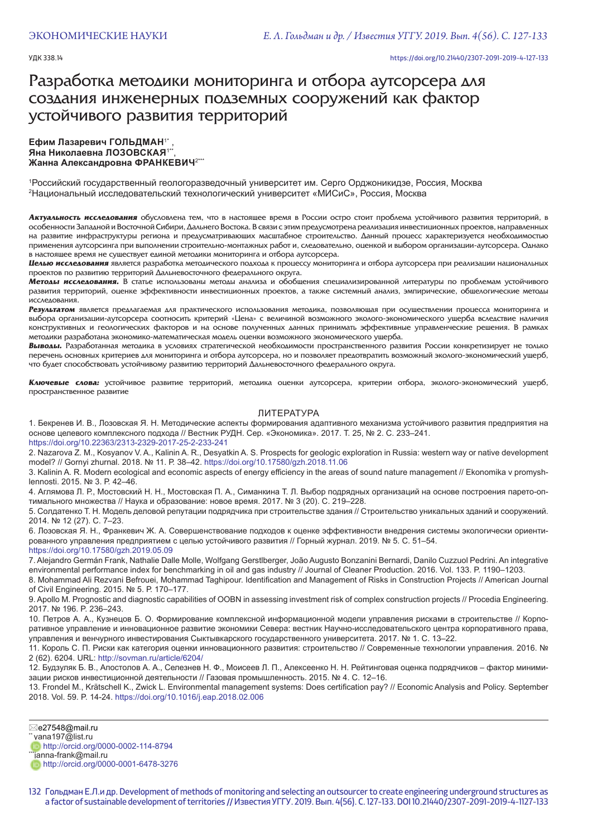#### УДК 338.14 https://doi.org/10.21440/2307-2091-2019-4-127-133

## Разработка методики мониторинга и отбора аутсорсера для создания инженерных подземных сооружений как фактор устойчивого развития территорий

#### Ефим Лазаревич ГОЛЬДМАН<sup>1\*</sup> **Яна Николаевна ЛОЗОВСКАЯ**1\*\*, **Жанна Александровна ФРАНКЕВИЧ**2\*\*\*

1 Российский государственный геологоразведочный университет им. Серго Орджоникидзе, Россия, Москва 2 Национальный исследовательский технологический университет «МИСиС», Россия, Москва

Актуальность исследования обусловлена тем, что в настоящее время в России остро стоит проблема устойчивого развития территорий, в особенности Западной и Восточной Сибири, Дальнего Востока. В связи с этим предусмотрена реализация инвестиционных проектов, направленных на развитие инфраструктуры региона и предусматривающих масштабное строительство. Данный процесс характеризуется необходимостью применения аутсорсинга при выполнении строительно-монтажных работ и, следовательно, оценкой и выбором организации-аутсорсера. Однако в настоящее время не существует единой методики мониторинга и отбора аутсорсера.

**Целью исследования** является разработка методического подхода к процессу мониторинга и отбора аутсорсера при реализации национальных проектов по развитию территорий Дальневосточного федерального округа.

**Методы исследования.** В статье использованы методы анализа и обобщения специализированной литературы по проблемам устойчивого развития территорий, оценке эффективности инвестиционных проектов, а также системный анализ, эмпирические, общелогические методы исследования.

Результатом является предлагаемая для практического использования методика, позволяющая при осуществлении процесса мониторинга и выбора организации-аутсорсера соотносить критерий «Цена» с величиной возможного эколого-экономического ущерба вследствие наличия конструктивных и геологических факторов и на основе полученных данных принимать эффективные управленческие решения. В рамках методики разработана экономико-математическая модель оценки возможного экономического ущерба.

Выводы. Разработанная методика в условиях стратегической необходимости пространственного развития России конкретизирует не только перечень основных критериев для мониторинга и отбора аутсорсера, но и позволяет предотвратить возможный эколого-экономический ущерб, что будет способствовать устойчивому развитию территорий Дальневосточного федерального округа.

Ключевые слова: устойчивое развитие территорий, методика оценки аутсорсера, критерии отбора, эколого-экономический ущерб, пространственное развитие

#### ЛИТЕРАТУРА

1. Бекренев И. В., Лозовская Я. Н. Методические аспекты формирования адаптивного механизма устойчивого развития предприятия на основе целевого комплексного подхода // Вестник РУДН. Сер. «Экономика». 2017. Т. 25, № 2. С. 233–241. https://doi.org/10.22363/2313-2329-2017-25-2-233-241

2. Nazarova Z. M., Kosyanov V. A., Kalinin A. R., Desyatkin A. S. Prospects for geologic exploration in Russia: western way or native development model? // Gornyi zhurnal*.* 2018. № 11. Р. 38–42. https://doi.org/10.17580/gzh.2018.11.06

3. Kalinin A. R. Modern ecological and economic aspects of energy efficiency in the areas of sound nature management // Ekonomika v promyshlennosti. 2015. № 3. Р. 42–46.

4. Аглямова Л. Р., Мостовский Н. Н., Мостовская П. А., Симанкина Т. Л. Выбор подрядных организаций на основе построения парето-оптимального множества // Наука и образование: новое время. 2017. № 3 (20). С. 219–228.

5. Солдатенко Т. Н. Модель деловой репутации подрядчика при строительстве здания // Строительство уникальных зданий и сооружений. 2014. № 12 (27). С. 7–23.

6. Лозовская Я. Н., Франкевич Ж. А. Совершенствование подходов к оценке эффективности внедрения системы экологически ориентированного управления предприятием с целью устойчивого развития // Горный журнал. 2019. № 5. С. 51–54. https://doi.org/10.17580/gzh.2019.05.09

7. Alejandro Germán Frank, Nathalie Dalle Molle, Wolfgang Gerstlberger, João Augusto Bonzanini Bernardi, Danilo Cuzzuol Pedrini. An integrative environmental performance index for benchmarking in oil and gas industry // Journal of Cleaner Production. 2016. Vol. 133. P. 1190–1203.

8. Mohammad Ali Rezvani Befrouei, Mohammad Taghipour. Identification and Management of Risks in Construction Projects // American Journal of Civil Engineering. 2015. № 5. Р. 170–177.

9. Apollo М. Prognostic and diagnostic capabilities of OOBN in assessing investment risk of complex construction projects // Procedia Engineering. 2017. № 196. P. 236–243.

10. Петров А. А., Кузнецов Б. О. Формирование комплексной информационной модели управления рисками в строительстве // Корпоративное управление и инновационное развитие экономики Севера: вестник Научно-исследовательского центра корпоративного права, управления и венчурного инвестирования Сыктывкарского государственного университета. 2017. № 1. C. 13–22.

11. Король С. П. Риски как категория оценки инновационного развития: строительство // Современные технологии управления. 2016. № 2 (62). 6204. URL: http://sovman.ru/article/6204/

12. Будзуляк Б. В., Апостолов А. А., Селезнев Н. Ф., Моисеев Л. П., Алексеенко Н. Н. Рейтинговая оценка подрядчиков – фактор минимизации рисков инвестиционной деятельности // Газовая промышленность. 2015. № 4. С. 12–16.

13. Frondel M., Krätschell K., Zwick L. Environmental management systems: Does certification pay? // Economic Analysis and Policy. September 2018. Vol. 59. P. 14-24. https://doi.org/10.1016/j.eap.2018.02.006

e27548@mail.ru

vana197@list.ru

http://orcid.org/0000-0002-114-8794 \*janna-frank@mail.ru

http://orcid.org/0000-0001-6478-3276

132 Гольдман Е.Л.и др. Development of methods of monitoring and selecting an outsourcer to create engineering underground structures as a factor of sustainable development of territories // Известия УГГУ. 2019. Вып. 4(56). С. 127-133. DOI 10.21440/2307-2091-2019-4-1127-133